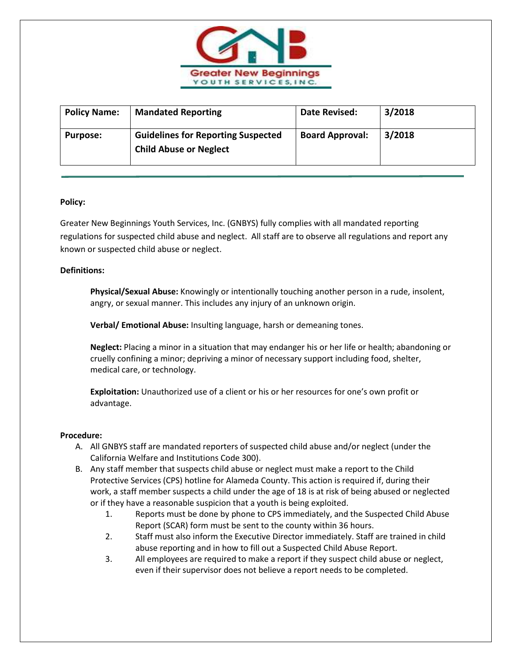

| <b>Policy Name:</b> | <b>Mandated Reporting</b>                                                  | Date Revised:          | 3/2018 |
|---------------------|----------------------------------------------------------------------------|------------------------|--------|
| <b>Purpose:</b>     | <b>Guidelines for Reporting Suspected</b><br><b>Child Abuse or Neglect</b> | <b>Board Approval:</b> | 3/2018 |

## **Policy:**

Greater New Beginnings Youth Services, Inc. (GNBYS) fully complies with all mandated reporting regulations for suspected child abuse and neglect. All staff are to observe all regulations and report any known or suspected child abuse or neglect.

## **Definitions:**

**Physical/Sexual Abuse:** Knowingly or intentionally touching another person in a rude, insolent, angry, or sexual manner. This includes any injury of an unknown origin.

**Verbal/ Emotional Abuse:** Insulting language, harsh or demeaning tones.

**Neglect:** Placing a minor in a situation that may endanger his or her life or health; abandoning or cruelly confining a minor; depriving a minor of necessary support including food, shelter, medical care, or technology.

**Exploitation:** Unauthorized use of a client or his or her resources for one's own profit or advantage.

## **Procedure:**

- A. All GNBYS staff are mandated reporters of suspected child abuse and/or neglect (under the California Welfare and Institutions Code 300).
- B. Any staff member that suspects child abuse or neglect must make a report to the Child Protective Services (CPS) hotline for Alameda County. This action is required if, during their work, a staff member suspects a child under the age of 18 is at risk of being abused or neglected or if they have a reasonable suspicion that a youth is being exploited.
	- 1. Reports must be done by phone to CPS immediately, and the Suspected Child Abuse Report (SCAR) form must be sent to the county within 36 hours.
	- 2. Staff must also inform the Executive Director immediately. Staff are trained in child abuse reporting and in how to fill out a Suspected Child Abuse Report.
	- 3. All employees are required to make a report if they suspect child abuse or neglect, even if their supervisor does not believe a report needs to be completed.